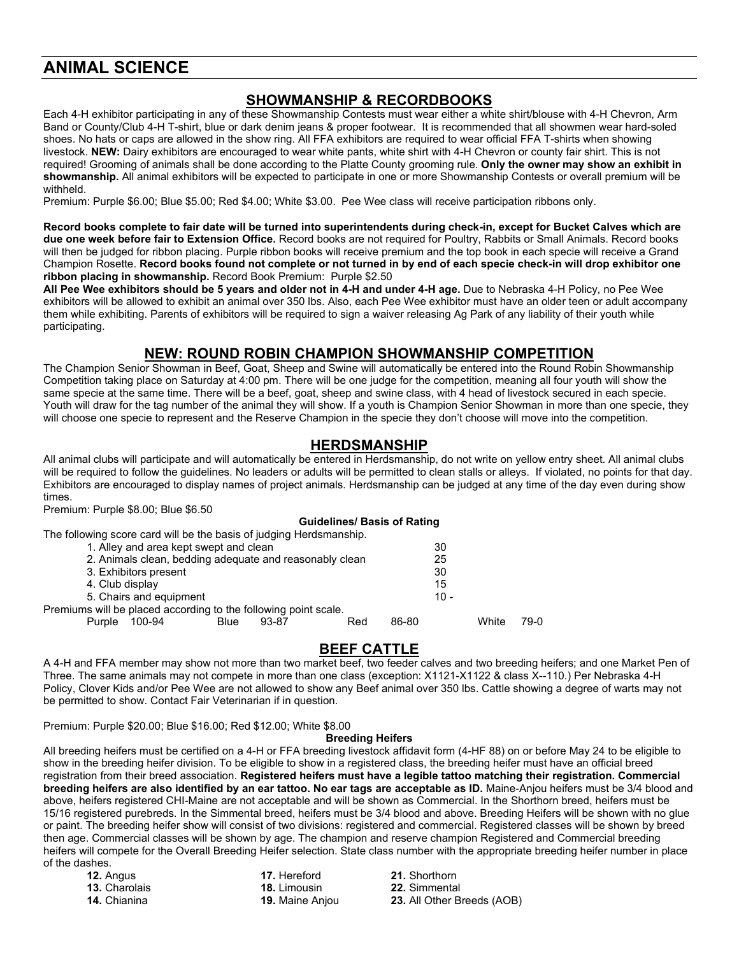# **ANIMAL SCIENCE**

# **SHOWMANSHIP & RECORDBOOKS**

Each 4-H exhibitor participating in any of these Showmanship Contests must wear either a white shirt/blouse with 4-H Chevron, Arm Band or County/Club 4-H T-shirt, blue or dark denim jeans & proper footwear. It is recommended that all showmen wear hard-soled shoes. No hats or caps are allowed in the show ring. All FFA exhibitors are required to wear official FFA T-shirts when showing livestock. **NEW:** Dairy exhibitors are encouraged to wear white pants, white shirt with 4-H Chevron or county fair shirt. This is not required! Grooming of animals shall be done according to the Platte County grooming rule. **Only the owner may show an exhibit in showmanship.** All animal exhibitors will be expected to participate in one or more Showmanship Contests or overall premium will be withheld.

Premium: Purple \$6.00; Blue \$5.00; Red \$4.00; White \$3.00. Pee Wee class will receive participation ribbons only.

**Record books complete to fair date will be turned into superintendents during check-in, except for Bucket Calves which are due one week before fair to Extension Office.** Record books are not required for Poultry, Rabbits or Small Animals. Record books will then be judged for ribbon placing. Purple ribbon books will receive premium and the top book in each specie will receive a Grand Champion Rosette. **Record books found not complete or not turned in by end of each specie check-in will drop exhibitor one ribbon placing in showmanship.** Record Book Premium: Purple \$2.50

**All Pee Wee exhibitors should be 5 years and older not in 4-H and under 4-H age.** Due to Nebraska 4-H Policy, no Pee Wee exhibitors will be allowed to exhibit an animal over 350 lbs. Also, each Pee Wee exhibitor must have an older teen or adult accompany them while exhibiting. Parents of exhibitors will be required to sign a waiver releasing Ag Park of any liability of their youth while participating.

# **NEW: ROUND ROBIN CHAMPION SHOWMANSHIP COMPETITION**

The Champion Senior Showman in Beef, Goat, Sheep and Swine will automatically be entered into the Round Robin Showmanship Competition taking place on Saturday at 4:00 pm. There will be one judge for the competition, meaning all four youth will show the same specie at the same time. There will be a beef, goat, sheep and swine class, with 4 head of livestock secured in each specie. Youth will draw for the tag number of the animal they will show. If a youth is Champion Senior Showman in more than one specie, they will choose one specie to represent and the Reserve Champion in the specie they don't choose will move into the competition.

## **HERDSMANSHIP**

All animal clubs will participate and will automatically be entered in Herdsmanship, do not write on yellow entry sheet. All animal clubs will be required to follow the guidelines. No leaders or adults will be permitted to clean stalls or alleys. If violated, no points for that day. Exhibitors are encouraged to display names of project animals. Herdsmanship can be judged at any time of the day even during show times.

Premium: Purple \$8.00; Blue \$6.50

|                                                                     | <b>Guidelines/ Basis of Rating</b> |       |        |       |      |  |
|---------------------------------------------------------------------|------------------------------------|-------|--------|-------|------|--|
| The following score card will be the basis of judging Herdsmanship. |                                    |       |        |       |      |  |
| 1. Alley and area kept swept and clean                              |                                    |       | 30     |       |      |  |
| 2. Animals clean, bedding adequate and reasonably clean             |                                    |       | 25     |       |      |  |
| 3. Exhibitors present                                               |                                    |       | 30     |       |      |  |
| 4. Club display                                                     |                                    |       | 15     |       |      |  |
| 5. Chairs and equipment                                             |                                    |       | $10 -$ |       |      |  |
| Premiums will be placed according to the following point scale.     |                                    |       |        |       |      |  |
| Purple<br>100-94<br>93-87<br><b>Blue</b>                            | Red                                | 86-80 |        | White | 79-0 |  |

# **BEEF CATTLE**

A 4-H and FFA member may show not more than two market beef, two feeder calves and two breeding heifers; and one Market Pen of Three. The same animals may not compete in more than one class (exception: X1121-X1122 & class X--110.) Per Nebraska 4-H Policy, Clover Kids and/or Pee Wee are not allowed to show any Beef animal over 350 lbs. Cattle showing a degree of warts may not be permitted to show. Contact Fair Veterinarian if in question.

Premium: Purple \$20.00; Blue \$16.00; Red \$12.00; White \$8.00

#### **Breeding Heifers**

All breeding heifers must be certified on a 4-H or FFA breeding livestock affidavit form (4-HF 88) on or before May 24 to be eligible to show in the breeding heifer division. To be eligible to show in a registered class, the breeding heifer must have an official breed registration from their breed association. **Registered heifers must have a legible tattoo matching their registration. Commercial breeding heifers are also identified by an ear tattoo. No ear tags are acceptable as ID.** Maine-Anjou heifers must be 3/4 blood and above, heifers registered CHI-Maine are not acceptable and will be shown as Commercial. In the Shorthorn breed, heifers must be 15/16 registered purebreds. In the Simmental breed, heifers must be 3/4 blood and above. Breeding Heifers will be shown with no glue or paint. The breeding heifer show will consist of two divisions: registered and commercial. Registered classes will be shown by breed then age. Commercial classes will be shown by age. The champion and reserve champion Registered and Commercial breeding heifers will compete for the Overall Breeding Heifer selection. State class number with the appropriate breeding heifer number in place of the dashes.<br>**12.** Angus

- 
- 
- **12.** Angus **17.** Hereford **21.** Shorthorn **13.** Charolais **18.** Limousin **22.** Simmental

**23.** All Other Breeds (AOB)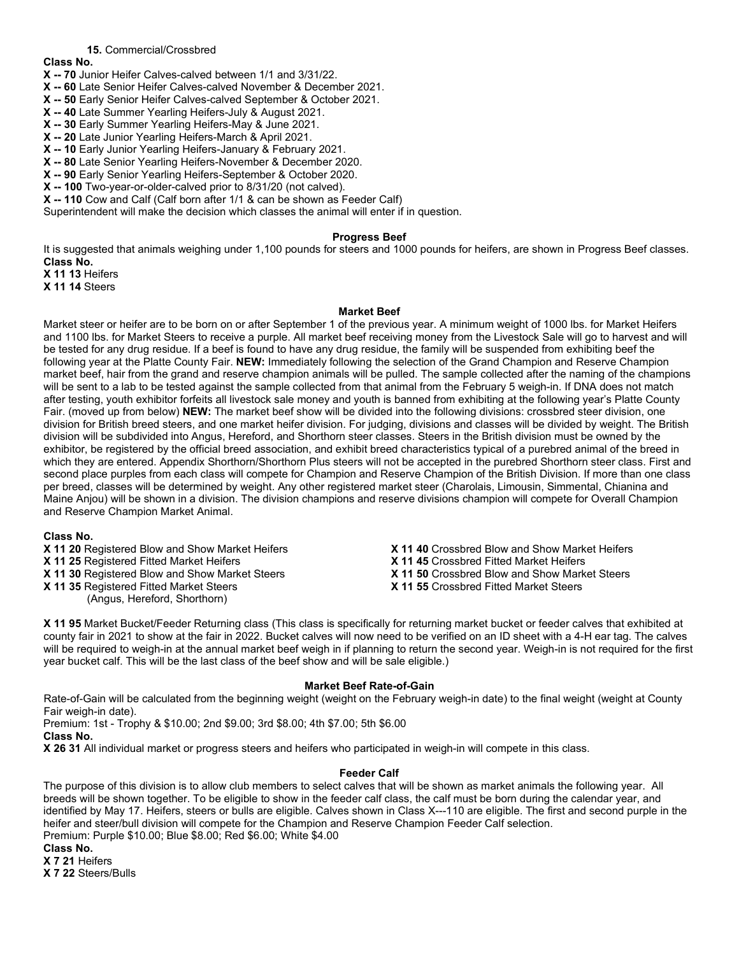#### **15.** Commercial/Crossbred

#### **Class No.**

- **X -- 70** Junior Heifer Calves-calved between 1/1 and 3/31/22.
- **X -- 60** Late Senior Heifer Calves-calved November & December 2021.
- **X -- 50** Early Senior Heifer Calves-calved September & October 2021.
- **X -- 40** Late Summer Yearling Heifers-July & August 2021.
- **X -- 30** Early Summer Yearling Heifers-May & June 2021.
- **X -- 20** Late Junior Yearling Heifers-March & April 2021.
- **X -- 10** Early Junior Yearling Heifers-January & February 2021.
- **X -- 80** Late Senior Yearling Heifers-November & December 2020.
- **X -- 90** Early Senior Yearling Heifers-September & October 2020.
- **X -- 100** Two-year-or-older-calved prior to 8/31/20 (not calved).
- **X -- 110** Cow and Calf (Calf born after 1/1 & can be shown as Feeder Calf)
- Superintendent will make the decision which classes the animal will enter if in question.

## **Progress Beef**

It is suggested that animals weighing under 1,100 pounds for steers and 1000 pounds for heifers, are shown in Progress Beef classes. **Class No. X 11 13** Heifers

**X 11 14** Steers

#### **Market Beef**

Market steer or heifer are to be born on or after September 1 of the previous year. A minimum weight of 1000 lbs. for Market Heifers and 1100 lbs. for Market Steers to receive a purple. All market beef receiving money from the Livestock Sale will go to harvest and will be tested for any drug residue. If a beef is found to have any drug residue, the family will be suspended from exhibiting beef the following year at the Platte County Fair. **NEW:** Immediately following the selection of the Grand Champion and Reserve Champion market beef, hair from the grand and reserve champion animals will be pulled. The sample collected after the naming of the champions will be sent to a lab to be tested against the sample collected from that animal from the February 5 weigh-in. If DNA does not match after testing, youth exhibitor forfeits all livestock sale money and youth is banned from exhibiting at the following year's Platte County Fair. (moved up from below) **NEW:** The market beef show will be divided into the following divisions: crossbred steer division, one division for British breed steers, and one market heifer division. For judging, divisions and classes will be divided by weight. The British division will be subdivided into Angus, Hereford, and Shorthorn steer classes. Steers in the British division must be owned by the exhibitor, be registered by the official breed association, and exhibit breed characteristics typical of a purebred animal of the breed in which they are entered. Appendix Shorthorn/Shorthorn Plus steers will not be accepted in the purebred Shorthorn steer class. First and second place purples from each class will compete for Champion and Reserve Champion of the British Division. If more than one class per breed, classes will be determined by weight. Any other registered market steer (Charolais, Limousin, Simmental, Chianina and Maine Anjou) will be shown in a division. The division champions and reserve divisions champion will compete for Overall Champion and Reserve Champion Market Animal.

#### **Class No.**

- **X 11 20** Registered Blow and Show Market Heifers **X 11 40** Crossbred Blow and Show Market Heifers
- 
- **X 11 25** Registered Fitted Market Heifers **X 11 45** Crossbred Fitted Market Heifers **X 11 30** Registered Blow and Show Market Steers **X 11 50** Crossbred Blow and Show Market Steers
- **X 11 35** Registered Fitted Market Steers
	- (Angus, Hereford, Shorthorn)
- 
- 
- 
- 

**X 11 95** Market Bucket/Feeder Returning class (This class is specifically for returning market bucket or feeder calves that exhibited at county fair in 2021 to show at the fair in 2022. Bucket calves will now need to be verified on an ID sheet with a 4-H ear tag. The calves will be required to weigh-in at the annual market beef weigh in if planning to return the second year. Weigh-in is not required for the first year bucket calf. This will be the last class of the beef show and will be sale eligible.)

#### **Market Beef Rate-of-Gain**

Rate-of-Gain will be calculated from the beginning weight (weight on the February weigh-in date) to the final weight (weight at County Fair weigh-in date).

Premium: 1st - Trophy & \$10.00; 2nd \$9.00; 3rd \$8.00; 4th \$7.00; 5th \$6.00 **Class No.**

**X 26 31** All individual market or progress steers and heifers who participated in weigh-in will compete in this class.

#### **Feeder Calf**

The purpose of this division is to allow club members to select calves that will be shown as market animals the following year. All breeds will be shown together. To be eligible to show in the feeder calf class, the calf must be born during the calendar year, and identified by May 17. Heifers, steers or bulls are eligible. Calves shown in Class X---110 are eligible. The first and second purple in the heifer and steer/bull division will compete for the Champion and Reserve Champion Feeder Calf selection. Premium: Purple \$10.00; Blue \$8.00; Red \$6.00; White \$4.00 **Class No.**

**X 7 21** Heifers **X 7 22** Steers/Bulls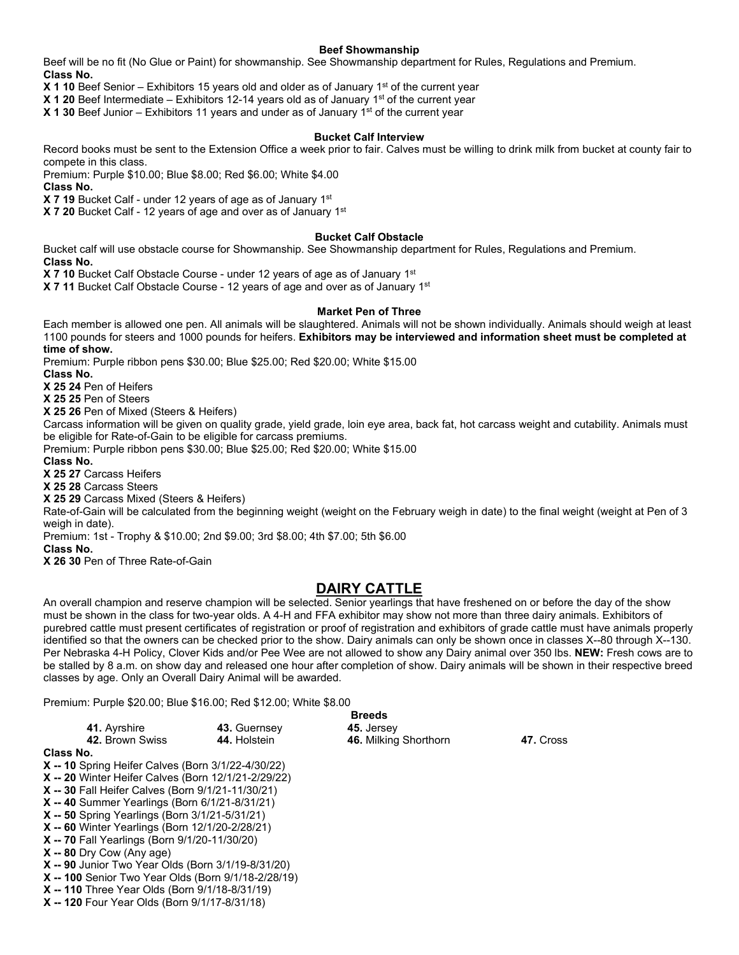#### **Beef Showmanship**

Beef will be no fit (No Glue or Paint) for showmanship. See Showmanship department for Rules, Regulations and Premium. **Class No.**

**X 1 10** Beef Senior – Exhibitors 15 years old and older as of January 1<sup>st</sup> of the current year

**X 1 20** Beef Intermediate – Exhibitors 12-14 years old as of January 1<sup>st</sup> of the current year

**X 1 30** Beef Junior – Exhibitors 11 years and under as of January 1<sup>st</sup> of the current year

#### **Bucket Calf Interview**

Record books must be sent to the Extension Office a week prior to fair. Calves must be willing to drink milk from bucket at county fair to compete in this class.

Premium: Purple \$10.00; Blue \$8.00; Red \$6.00; White \$4.00

#### **Class No.**

**X 7 19** Bucket Calf - under 12 years of age as of January 1st

**X 7 20** Bucket Calf - 12 years of age and over as of January 1st

#### **Bucket Calf Obstacle**

Bucket calf will use obstacle course for Showmanship. See Showmanship department for Rules, Regulations and Premium. **Class No.**

**X 7 10** Bucket Calf Obstacle Course - under 12 years of age as of January 1st

**X 7 11** Bucket Calf Obstacle Course - 12 years of age and over as of January 1<sup>st</sup>

#### **Market Pen of Three**

Each member is allowed one pen. All animals will be slaughtered. Animals will not be shown individually. Animals should weigh at least 1100 pounds for steers and 1000 pounds for heifers. **Exhibitors may be interviewed and information sheet must be completed at time of show.** 

Premium: Purple ribbon pens \$30.00; Blue \$25.00; Red \$20.00; White \$15.00

#### **Class No.**

**X 25 24** Pen of Heifers

**X 25 25** Pen of Steers

**X 25 26** Pen of Mixed (Steers & Heifers)

Carcass information will be given on quality grade, yield grade, loin eye area, back fat, hot carcass weight and cutability. Animals must be eligible for Rate-of-Gain to be eligible for carcass premiums.

Premium: Purple ribbon pens \$30.00; Blue \$25.00; Red \$20.00; White \$15.00

#### **Class No.**

**X 25 27** Carcass Heifers

**X 25 28** Carcass Steers

**X 25 29** Carcass Mixed (Steers & Heifers)

Rate-of-Gain will be calculated from the beginning weight (weight on the February weigh in date) to the final weight (weight at Pen of 3 weigh in date).

Premium: 1st - Trophy & \$10.00; 2nd \$9.00; 3rd \$8.00; 4th \$7.00; 5th \$6.00

**Class No.**

**X 26 30** Pen of Three Rate-of-Gain

## **DAIRY CATTLE**

An overall champion and reserve champion will be selected. Senior yearlings that have freshened on or before the day of the show must be shown in the class for two-year olds. A 4-H and FFA exhibitor may show not more than three dairy animals. Exhibitors of purebred cattle must present certificates of registration or proof of registration and exhibitors of grade cattle must have animals properly identified so that the owners can be checked prior to the show. Dairy animals can only be shown once in classes X--80 through X--130. Per Nebraska 4-H Policy, Clover Kids and/or Pee Wee are not allowed to show any Dairy animal over 350 lbs. **NEW:** Fresh cows are to be stalled by 8 a.m. on show day and released one hour after completion of show. Dairy animals will be shown in their respective breed classes by age. Only an Overall Dairy Animal will be awarded.

Premium: Purple \$20.00; Blue \$16.00; Red \$12.00; White \$8.00

| 41. Ayrshire                                                   | 43. Guernsey | 45. Jersey            |           |
|----------------------------------------------------------------|--------------|-----------------------|-----------|
| 42. Brown Swiss                                                | 44. Holstein | 46. Milking Shorthorn | 47. Cross |
| Class No.                                                      |              |                       |           |
| <b>X</b> -- 10 Spring Heifer Calves (Born $3/1/22 - 4/30/22$ ) |              |                       |           |
| <b>X -- 20</b> Winter Heifer Calves (Born 12/1/21-2/29/22)     |              |                       |           |
| <b>X -- 30 Fall Heifer Calves (Born 9/1/21-11/30/21)</b>       |              |                       |           |
| <b>X -- 40 Summer Yearlings (Born 6/1/21-8/31/21)</b>          |              |                       |           |
| <b>V</b> FO Casinal Versions (Drug 0/4/04 E/04/04)             |              |                       |           |

**X -- 50** Spring Yearlings (Born 3/1/21-5/31/21) **X -- 60** Winter Yearlings (Born 12/1/20-2/28/21)

**X -- 70** Fall Yearlings (Born 9/1/20-11/30/20)

**X -- 80** Dry Cow (Any age)

**X -- 90** Junior Two Year Olds (Born 3/1/19-8/31/20)

**X -- 100** Senior Two Year Olds (Born 9/1/18-2/28/19)

**X -- 110** Three Year Olds (Born 9/1/18-8/31/19)

**X -- 120** Four Year Olds (Born 9/1/17-8/31/18)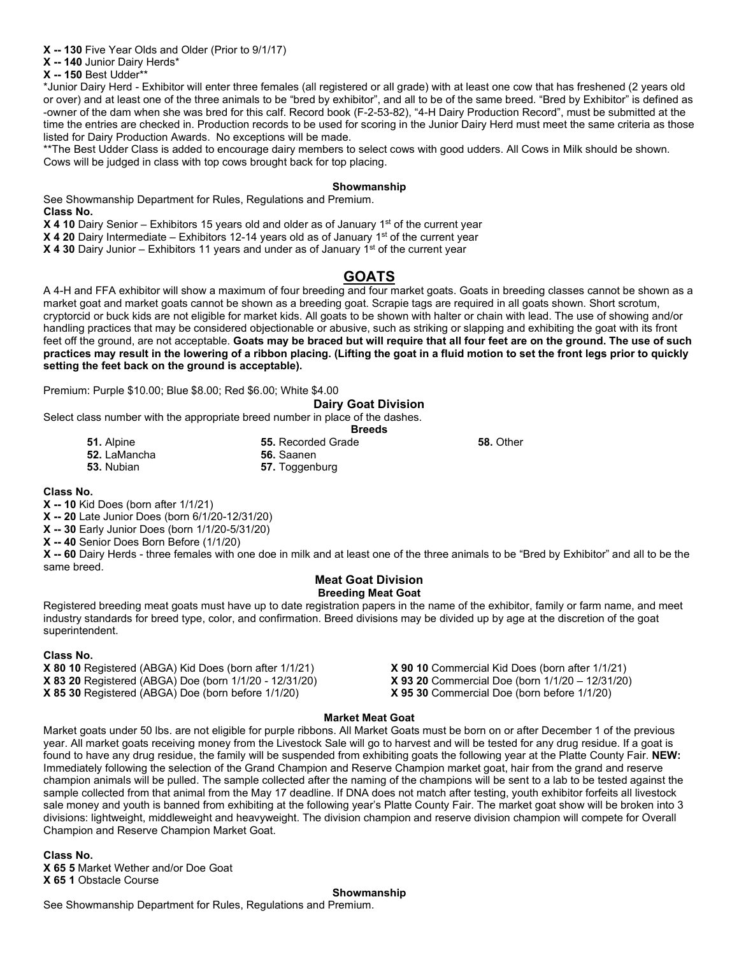- **X -- 130** Five Year Olds and Older (Prior to 9/1/17)
- **X -- 140** Junior Dairy Herds\*

**X -- 150** Best Udder\*\*

\*Junior Dairy Herd - Exhibitor will enter three females (all registered or all grade) with at least one cow that has freshened (2 years old or over) and at least one of the three animals to be "bred by exhibitor", and all to be of the same breed. "Bred by Exhibitor" is defined as -owner of the dam when she was bred for this calf. Record book (F-2-53-82), "4-H Dairy Production Record", must be submitted at the time the entries are checked in. Production records to be used for scoring in the Junior Dairy Herd must meet the same criteria as those listed for Dairy Production Awards. No exceptions will be made.

\*\*The Best Udder Class is added to encourage dairy members to select cows with good udders. All Cows in Milk should be shown. Cows will be judged in class with top cows brought back for top placing.

#### **Showmanship**

See Showmanship Department for Rules, Regulations and Premium. **Class No.**

**X 4 10** Dairy Senior – Exhibitors 15 years old and older as of January 1<sup>st</sup> of the current year

**X 4 20** Dairy Intermediate – Exhibitors 12-14 years old as of January 1<sup>st</sup> of the current year

**X 4 30** Dairy Junior – Exhibitors 11 years and under as of January 1<sup>st</sup> of the current year

# **GOATS**

A 4-H and FFA exhibitor will show a maximum of four breeding and four market goats. Goats in breeding classes cannot be shown as a market goat and market goats cannot be shown as a breeding goat. Scrapie tags are required in all goats shown. Short scrotum, cryptorcid or buck kids are not eligible for market kids. All goats to be shown with halter or chain with lead. The use of showing and/or handling practices that may be considered objectionable or abusive, such as striking or slapping and exhibiting the goat with its front feet off the ground, are not acceptable. **Goats may be braced but will require that all four feet are on the ground. The use of such practices may result in the lowering of a ribbon placing. (Lifting the goat in a fluid motion to set the front legs prior to quickly setting the feet back on the ground is acceptable).** 

Premium: Purple \$10.00; Blue \$8.00; Red \$6.00; White \$4.00

### **Dairy Goat Division**

Select class number with the appropriate breed number in place of the dashes.

**Breeds**

**51.** Alpine **55.** Recorded Grade **58.** Other

**52.** LaMancha **56.** Saanen

**53.** Nubian **57.** Toggenburg

**Class No.**

**X -- 10** Kid Does (born after 1/1/21)

**X -- 20** Late Junior Does (born 6/1/20-12/31/20)

**X -- 30** Early Junior Does (born 1/1/20-5/31/20)

**X -- 40** Senior Does Born Before (1/1/20)

**X -- 60** Dairy Herds - three females with one doe in milk and at least one of the three animals to be "Bred by Exhibitor" and all to be the same breed.

#### **Meat Goat Division Breeding Meat Goat**

Registered breeding meat goats must have up to date registration papers in the name of the exhibitor, family or farm name, and meet industry standards for breed type, color, and confirmation. Breed divisions may be divided up by age at the discretion of the goat superintendent.

#### **Class No.**

**X 80 10** Registered (ABGA) Kid Does (born after 1/1/21) **X 90 10** Commercial Kid Does (born after 1/1/21) **X 83 20** Registered (ABGA) Doe (born 1/1/20 - 12/31/20) **X 93 20** Commercial Doe (born 1/1/20 – 12/31/20) **X 85 30** Registered (ABGA) Doe (born before 1/1/20) **X 95 30** Commercial Doe (born before 1/1/20)

#### **Market Meat Goat**

Market goats under 50 lbs. are not eligible for purple ribbons. All Market Goats must be born on or after December 1 of the previous year. All market goats receiving money from the Livestock Sale will go to harvest and will be tested for any drug residue. If a goat is found to have any drug residue, the family will be suspended from exhibiting goats the following year at the Platte County Fair. **NEW:**  Immediately following the selection of the Grand Champion and Reserve Champion market goat, hair from the grand and reserve champion animals will be pulled. The sample collected after the naming of the champions will be sent to a lab to be tested against the sample collected from that animal from the May 17 deadline. If DNA does not match after testing, youth exhibitor forfeits all livestock sale money and youth is banned from exhibiting at the following year's Platte County Fair. The market goat show will be broken into 3 divisions: lightweight, middleweight and heavyweight. The division champion and reserve division champion will compete for Overall Champion and Reserve Champion Market Goat.

**Class No. X 65 5** Market Wether and/or Doe Goat **X 65 1** Obstacle Course

**Showmanship**

See Showmanship Department for Rules, Regulations and Premium.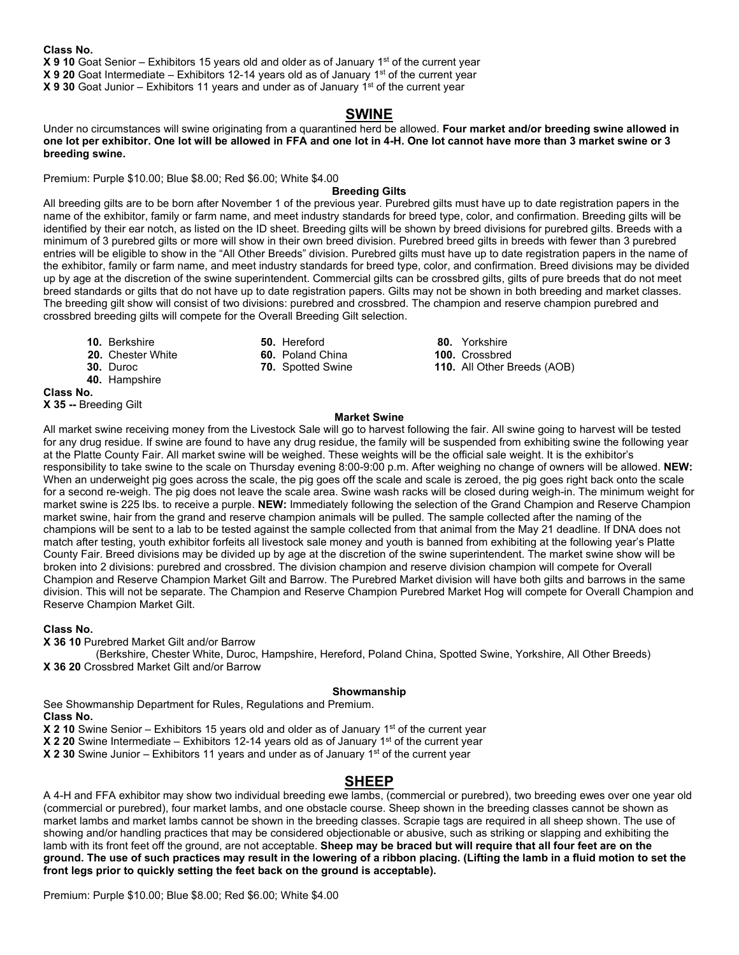**Class No.**

**X 9 10** Goat Senior – Exhibitors 15 years old and older as of January 1<sup>st</sup> of the current year

**X 9 20** Goat Intermediate – Exhibitors 12-14 years old as of January 1<sup>st</sup> of the current year

**X 9 30** Goat Junior – Exhibitors 11 years and under as of January 1<sup>st</sup> of the current year

# **SWINE**

Under no circumstances will swine originating from a quarantined herd be allowed. **Four market and/or breeding swine allowed in one lot per exhibitor. One lot will be allowed in FFA and one lot in 4-H. One lot cannot have more than 3 market swine or 3 breeding swine.** 

Premium: Purple \$10.00; Blue \$8.00; Red \$6.00; White \$4.00

#### **Breeding Gilts**

All breeding gilts are to be born after November 1 of the previous year. Purebred gilts must have up to date registration papers in the name of the exhibitor, family or farm name, and meet industry standards for breed type, color, and confirmation. Breeding gilts will be identified by their ear notch, as listed on the ID sheet. Breeding gilts will be shown by breed divisions for purebred gilts. Breeds with a minimum of 3 purebred gilts or more will show in their own breed division. Purebred breed gilts in breeds with fewer than 3 purebred entries will be eligible to show in the "All Other Breeds" division. Purebred gilts must have up to date registration papers in the name of the exhibitor, family or farm name, and meet industry standards for breed type, color, and confirmation. Breed divisions may be divided up by age at the discretion of the swine superintendent. Commercial gilts can be crossbred gilts, gilts of pure breeds that do not meet breed standards or gilts that do not have up to date registration papers. Gilts may not be shown in both breeding and market classes. The breeding gilt show will consist of two divisions: purebred and crossbred. The champion and reserve champion purebred and crossbred breeding gilts will compete for the Overall Breeding Gilt selection.

- 
- 

**40.** Hampshire

**Class No.**

**X 35 --** Breeding Gilt

# **10.** Berkshire **50.** Hereford **80.** Yorkshire **20.** Chester White **60.** Poland China **100. 20.** China **100. 70.** Spotted Swine

**110.** All Other Breeds (AOB)

### **Market Swine**

All market swine receiving money from the Livestock Sale will go to harvest following the fair. All swine going to harvest will be tested for any drug residue. If swine are found to have any drug residue, the family will be suspended from exhibiting swine the following year at the Platte County Fair. All market swine will be weighed. These weights will be the official sale weight. It is the exhibitor's responsibility to take swine to the scale on Thursday evening 8:00-9:00 p.m. After weighing no change of owners will be allowed. **NEW:**  When an underweight pig goes across the scale, the pig goes off the scale and scale is zeroed, the pig goes right back onto the scale for a second re-weigh. The pig does not leave the scale area. Swine wash racks will be closed during weigh-in. The minimum weight for market swine is 225 lbs. to receive a purple. **NEW:** Immediately following the selection of the Grand Champion and Reserve Champion market swine, hair from the grand and reserve champion animals will be pulled. The sample collected after the naming of the champions will be sent to a lab to be tested against the sample collected from that animal from the May 21 deadline. If DNA does not match after testing, youth exhibitor forfeits all livestock sale money and youth is banned from exhibiting at the following year's Platte County Fair. Breed divisions may be divided up by age at the discretion of the swine superintendent. The market swine show will be broken into 2 divisions: purebred and crossbred. The division champion and reserve division champion will compete for Overall Champion and Reserve Champion Market Gilt and Barrow. The Purebred Market division will have both gilts and barrows in the same division. This will not be separate. The Champion and Reserve Champion Purebred Market Hog will compete for Overall Champion and Reserve Champion Market Gilt.

#### **Class No.**

**X 36 10** Purebred Market Gilt and/or Barrow

 (Berkshire, Chester White, Duroc, Hampshire, Hereford, Poland China, Spotted Swine, Yorkshire, All Other Breeds) **X 36 20** Crossbred Market Gilt and/or Barrow

#### **Showmanship**

See Showmanship Department for Rules, Regulations and Premium. **Class No.**

**X 2 10** Swine Senior – Exhibitors 15 years old and older as of January 1<sup>st</sup> of the current year

**X 2 20** Swine Intermediate – Exhibitors 12-14 years old as of January 1<sup>st</sup> of the current year

**X 2 30** Swine Junior – Exhibitors 11 years and under as of January 1<sup>st</sup> of the current year

# **SHEEP**

A 4-H and FFA exhibitor may show two individual breeding ewe lambs, (commercial or purebred), two breeding ewes over one year old (commercial or purebred), four market lambs, and one obstacle course. Sheep shown in the breeding classes cannot be shown as market lambs and market lambs cannot be shown in the breeding classes. Scrapie tags are required in all sheep shown. The use of showing and/or handling practices that may be considered objectionable or abusive, such as striking or slapping and exhibiting the lamb with its front feet off the ground, are not acceptable. **Sheep may be braced but will require that all four feet are on the ground. The use of such practices may result in the lowering of a ribbon placing. (Lifting the lamb in a fluid motion to set the front legs prior to quickly setting the feet back on the ground is acceptable).** 

Premium: Purple \$10.00; Blue \$8.00; Red \$6.00; White \$4.00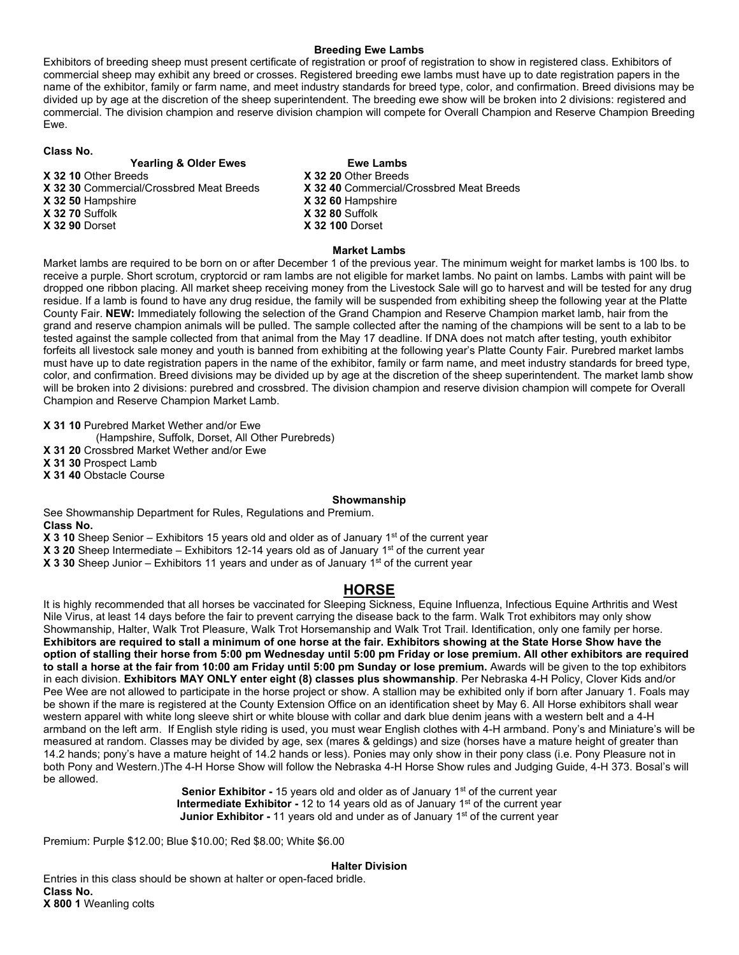#### **Breeding Ewe Lambs**

Exhibitors of breeding sheep must present certificate of registration or proof of registration to show in registered class. Exhibitors of commercial sheep may exhibit any breed or crosses. Registered breeding ewe lambs must have up to date registration papers in the name of the exhibitor, family or farm name, and meet industry standards for breed type, color, and confirmation. Breed divisions may be divided up by age at the discretion of the sheep superintendent. The breeding ewe show will be broken into 2 divisions: registered and commercial. The division champion and reserve division champion will compete for Overall Champion and Reserve Champion Breeding Ewe.

#### **Class No.**

**X 32 10** Other Breeds **X 32 20** Other Breeds **X 32 30** Commercial/Crossbred Meat Breeds **X 32 40** Commercial/Crossbred Meat Breeds **X 32 70 Suffolk <br><b>X 32 90 Dorset** 

**Yearling & Older Ewes Ewe Lambs**<br>**X 32 10 Other Breeds X 32 20 Other Breeds X 32 60 Hampshire <br><b>X 32 80** Suffolk **X 32 90** Dorset **X 32 100** Dorset

#### **Market Lambs**

Market lambs are required to be born on or after December 1 of the previous year. The minimum weight for market lambs is 100 lbs. to receive a purple. Short scrotum, cryptorcid or ram lambs are not eligible for market lambs. No paint on lambs. Lambs with paint will be dropped one ribbon placing. All market sheep receiving money from the Livestock Sale will go to harvest and will be tested for any drug residue. If a lamb is found to have any drug residue, the family will be suspended from exhibiting sheep the following year at the Platte County Fair. **NEW:** Immediately following the selection of the Grand Champion and Reserve Champion market lamb, hair from the grand and reserve champion animals will be pulled. The sample collected after the naming of the champions will be sent to a lab to be tested against the sample collected from that animal from the May 17 deadline. If DNA does not match after testing, youth exhibitor forfeits all livestock sale money and youth is banned from exhibiting at the following year's Platte County Fair. Purebred market lambs must have up to date registration papers in the name of the exhibitor, family or farm name, and meet industry standards for breed type, color, and confirmation. Breed divisions may be divided up by age at the discretion of the sheep superintendent. The market lamb show will be broken into 2 divisions: purebred and crossbred. The division champion and reserve division champion will compete for Overall Champion and Reserve Champion Market Lamb.

**X 31 10** Purebred Market Wether and/or Ewe

(Hampshire, Suffolk, Dorset, All Other Purebreds)

**X 31 20** Crossbred Market Wether and/or Ewe

**X 31 30** Prospect Lamb

**X 31 40** Obstacle Course

#### **Showmanship**

See Showmanship Department for Rules, Regulations and Premium. **Class No.**

**X 3 10** Sheep Senior – Exhibitors 15 years old and older as of January 1<sup>st</sup> of the current year

**X 3 20** Sheep Intermediate – Exhibitors 12-14 years old as of January 1<sup>st</sup> of the current year

**X 3 30** Sheep Junior – Exhibitors 11 years and under as of January 1<sup>st</sup> of the current year

# **HORSE**

It is highly recommended that all horses be vaccinated for Sleeping Sickness, Equine Influenza, Infectious Equine Arthritis and West Nile Virus, at least 14 days before the fair to prevent carrying the disease back to the farm. Walk Trot exhibitors may only show Showmanship, Halter, Walk Trot Pleasure, Walk Trot Horsemanship and Walk Trot Trail. Identification, only one family per horse. **Exhibitors are required to stall a minimum of one horse at the fair. Exhibitors showing at the State Horse Show have the option of stalling their horse from 5:00 pm Wednesday until 5:00 pm Friday or lose premium. All other exhibitors are required to stall a horse at the fair from 10:00 am Friday until 5:00 pm Sunday or lose premium.** Awards will be given to the top exhibitors in each division. **Exhibitors MAY ONLY enter eight (8) classes plus showmanship**. Per Nebraska 4-H Policy, Clover Kids and/or Pee Wee are not allowed to participate in the horse project or show. A stallion may be exhibited only if born after January 1. Foals may be shown if the mare is registered at the County Extension Office on an identification sheet by May 6. All Horse exhibitors shall wear western apparel with white long sleeve shirt or white blouse with collar and dark blue denim jeans with a western belt and a 4-H armband on the left arm. If English style riding is used, you must wear English clothes with 4-H armband. Pony's and Miniature's will be measured at random. Classes may be divided by age, sex (mares & geldings) and size (horses have a mature height of greater than 14.2 hands; pony's have a mature height of 14.2 hands or less). Ponies may only show in their pony class (i.e. Pony Pleasure not in both Pony and Western.)The 4-H Horse Show will follow the Nebraska 4-H Horse Show rules and Judging Guide, 4-H 373. Bosal's will be allowed.

> **Senior Exhibitor -** 15 years old and older as of January 1<sup>st</sup> of the current year **Intermediate Exhibitor -** 12 to 14 years old as of January 1<sup>st</sup> of the current year **Junior Exhibitor -** 11 years old and under as of January 1<sup>st</sup> of the current year

Premium: Purple \$12.00; Blue \$10.00; Red \$8.00; White \$6.00

**Halter Division** Entries in this class should be shown at halter or open-faced bridle. **Class No. X 800 1** Weanling colts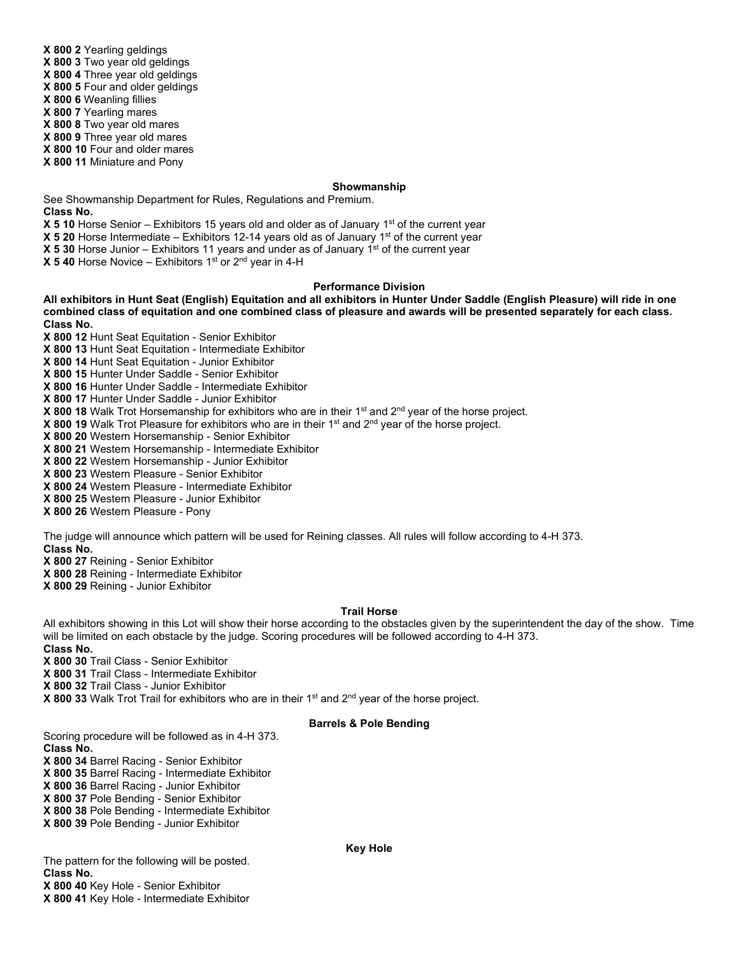- **X 800 2** Yearling geldings
- **X 800 3** Two year old geldings
- **X 800 4** Three year old geldings
- **X 800 5** Four and older geldings
- **X 800 6** Weanling fillies
- **X 800 7** Yearling mares
- **X 800 8** Two year old mares **X 800 9** Three year old mares
- **X 800 10** Four and older mares
- **X 800 11** Miniature and Pony

#### **Showmanship**

See Showmanship Department for Rules, Regulations and Premium. **Class No.**

- **X 5 10** Horse Senior Exhibitors 15 years old and older as of January 1<sup>st</sup> of the current year
- **X 5 20** Horse Intermediate Exhibitors 12-14 years old as of January 1<sup>st</sup> of the current year
- **X 5 30** Horse Junior Exhibitors 11 years and under as of January 1<sup>st</sup> of the current year

**X 5 40** Horse Novice – Exhibitors 1<sup>st</sup> or 2<sup>nd</sup> year in 4-H

#### **Performance Division**

**All exhibitors in Hunt Seat (English) Equitation and all exhibitors in Hunter Under Saddle (English Pleasure) will ride in one combined class of equitation and one combined class of pleasure and awards will be presented separately for each class. Class No.**

**X 800 12** Hunt Seat Equitation - Senior Exhibitor

- **X 800 13** Hunt Seat Equitation Intermediate Exhibitor
- **X 800 14** Hunt Seat Equitation Junior Exhibitor

**X 800 15** Hunter Under Saddle - Senior Exhibitor

**X 800 16** Hunter Under Saddle - Intermediate Exhibitor

**X 800 17** Hunter Under Saddle - Junior Exhibitor

**X 800 18** Walk Trot Horsemanship for exhibitors who are in their 1<sup>st</sup> and 2<sup>nd</sup> year of the horse project.

**X 800 19** Walk Trot Pleasure for exhibitors who are in their 1<sup>st</sup> and 2<sup>nd</sup> year of the horse project.

**X 800 20** Western Horsemanship - Senior Exhibitor

**X 800 21** Western Horsemanship - Intermediate Exhibitor

**X 800 22** Western Horsemanship - Junior Exhibitor

**X 800 23** Western Pleasure - Senior Exhibitor

**X 800 24** Western Pleasure - Intermediate Exhibitor

**X 800 25** Western Pleasure - Junior Exhibitor

**X 800 26** Western Pleasure - Pony

The judge will announce which pattern will be used for Reining classes. All rules will follow according to 4-H 373.

**Class No.**

**X 800 27** Reining - Senior Exhibitor

**X 800 28** Reining - Intermediate Exhibitor

**X 800 29** Reining - Junior Exhibitor

#### **Trail Horse**

All exhibitors showing in this Lot will show their horse according to the obstacles given by the superintendent the day of the show. Time will be limited on each obstacle by the judge. Scoring procedures will be followed according to 4-H 373. **Class No.**

**X 800 30** Trail Class - Senior Exhibitor

**X 800 31** Trail Class - Intermediate Exhibitor

**X 800 32** Trail Class - Junior Exhibitor

**X 800 33** Walk Trot Trail for exhibitors who are in their 1<sup>st</sup> and 2<sup>nd</sup> year of the horse project.

### **Barrels & Pole Bending**

Scoring procedure will be followed as in 4-H 373. **Class No.**

**X 800 34** Barrel Racing - Senior Exhibitor

**X 800 35** Barrel Racing - Intermediate Exhibitor

**X 800 36** Barrel Racing - Junior Exhibitor

**X 800 37** Pole Bending - Senior Exhibitor

**X 800 38** Pole Bending - Intermediate Exhibitor

**X 800 39** Pole Bending - Junior Exhibitor

#### **Key Hole**

The pattern for the following will be posted. **Class No. X 800 40** Key Hole - Senior Exhibitor

**X 800 41** Key Hole - Intermediate Exhibitor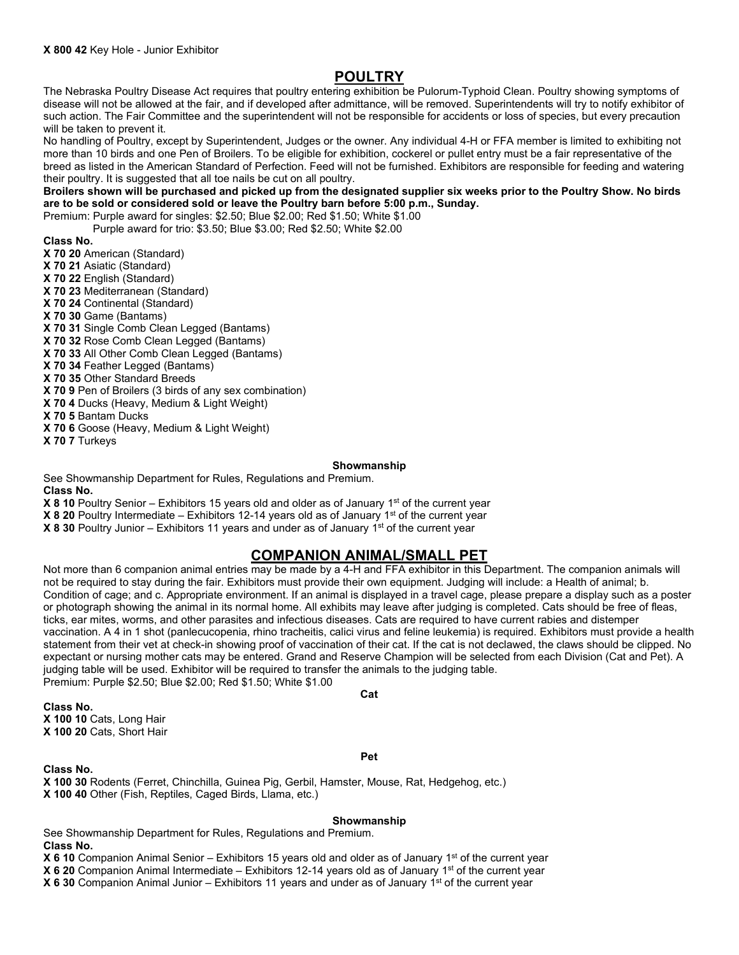## **POULTRY**

The Nebraska Poultry Disease Act requires that poultry entering exhibition be Pulorum-Typhoid Clean. Poultry showing symptoms of disease will not be allowed at the fair, and if developed after admittance, will be removed. Superintendents will try to notify exhibitor of such action. The Fair Committee and the superintendent will not be responsible for accidents or loss of species, but every precaution will be taken to prevent it.

No handling of Poultry, except by Superintendent, Judges or the owner. Any individual 4-H or FFA member is limited to exhibiting not more than 10 birds and one Pen of Broilers. To be eligible for exhibition, cockerel or pullet entry must be a fair representative of the breed as listed in the American Standard of Perfection. Feed will not be furnished. Exhibitors are responsible for feeding and watering their poultry. It is suggested that all toe nails be cut on all poultry.

**Broilers shown will be purchased and picked up from the designated supplier six weeks prior to the Poultry Show. No birds are to be sold or considered sold or leave the Poultry barn before 5:00 p.m., Sunday.**

Premium: Purple award for singles: \$2.50; Blue \$2.00; Red \$1.50; White \$1.00 Purple award for trio: \$3.50; Blue \$3.00; Red \$2.50; White \$2.00

**Class No.**

- **X 70 20** American (Standard)
- **X 70 21** Asiatic (Standard)
- **X 70 22** English (Standard)
- **X 70 23** Mediterranean (Standard)
- **X 70 24** Continental (Standard)
- **X 70 30** Game (Bantams)

**X 70 31** Single Comb Clean Legged (Bantams)

- **X 70 32 Rose Comb Clean Legged (Bantams)**
- **X 70 33** All Other Comb Clean Legged (Bantams)
- **X 70 34** Feather Legged (Bantams)
- **X 70 35** Other Standard Breeds
- **X 70 9** Pen of Broilers (3 birds of any sex combination)
- **X 70 4** Ducks (Heavy, Medium & Light Weight)
- **X 70 5** Bantam Ducks
- **X 70 6** Goose (Heavy, Medium & Light Weight)
- **X 70 7** Turkeys

### **Showmanship**

See Showmanship Department for Rules, Regulations and Premium. **Class No.**

**X 8 10** Poultry Senior – Exhibitors 15 years old and older as of January 1<sup>st</sup> of the current year

**X 8 20** Poultry Intermediate – Exhibitors 12-14 years old as of January 1<sup>st</sup> of the current year

**X 8 30** Poultry Junior – Exhibitors 11 years and under as of January 1<sup>st</sup> of the current year

# **COMPANION ANIMAL/SMALL PET**

Not more than 6 companion animal entries may be made by a 4-H and FFA exhibitor in this Department. The companion animals will not be required to stay during the fair. Exhibitors must provide their own equipment. Judging will include: a Health of animal; b. Condition of cage; and c. Appropriate environment. If an animal is displayed in a travel cage, please prepare a display such as a poster or photograph showing the animal in its normal home. All exhibits may leave after judging is completed. Cats should be free of fleas, ticks, ear mites, worms, and other parasites and infectious diseases. Cats are required to have current rabies and distemper vaccination. A 4 in 1 shot (panlecucopenia, rhino tracheitis, calici virus and feline leukemia) is required. Exhibitors must provide a health statement from their vet at check-in showing proof of vaccination of their cat. If the cat is not declawed, the claws should be clipped. No expectant or nursing mother cats may be entered. Grand and Reserve Champion will be selected from each Division (Cat and Pet). A judging table will be used. Exhibitor will be required to transfer the animals to the judging table. Premium: Purple \$2.50; Blue \$2.00; Red \$1.50; White \$1.00

**Cat**

**Class No. X 100 10** Cats, Long Hair **X 100 20** Cats, Short Hair

#### **Pet**

**Class No. X 100 30** Rodents (Ferret, Chinchilla, Guinea Pig, Gerbil, Hamster, Mouse, Rat, Hedgehog, etc.) **X 100 40** Other (Fish, Reptiles, Caged Birds, Llama, etc.)

## **Showmanship**

See Showmanship Department for Rules, Regulations and Premium.

**Class No.**

**X 6 10** Companion Animal Senior – Exhibitors 15 years old and older as of January 1<sup>st</sup> of the current year

**X 6 20** Companion Animal Intermediate – Exhibitors 12-14 years old as of January 1<sup>st</sup> of the current year

**X 6 30** Companion Animal Junior – Exhibitors 11 years and under as of January 1<sup>st</sup> of the current year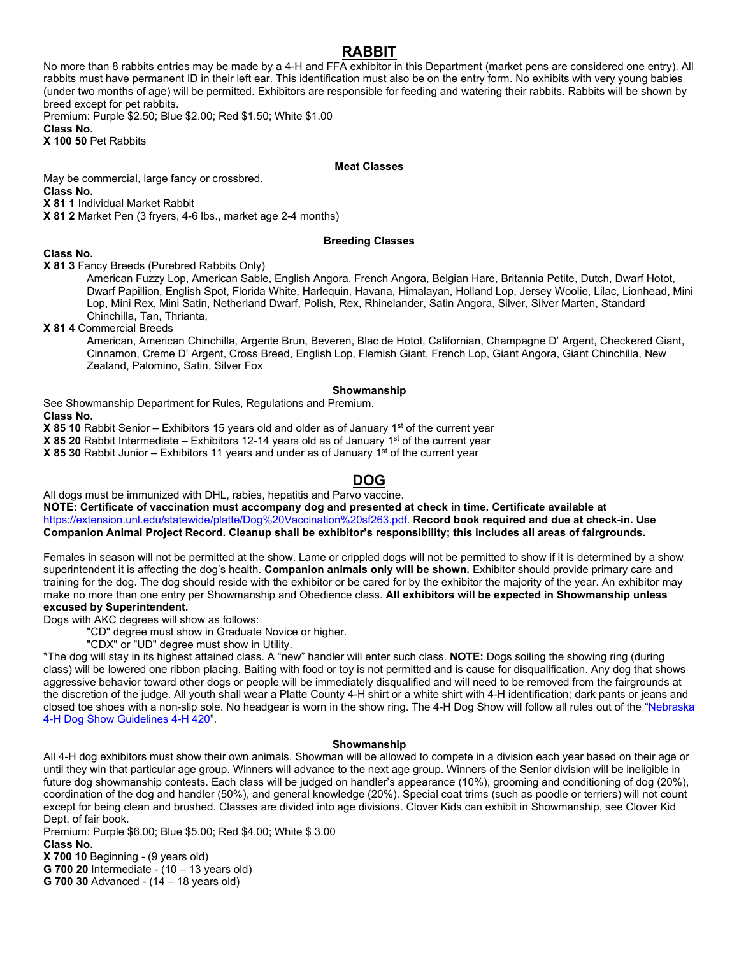# **RABBIT**

No more than 8 rabbits entries may be made by a 4-H and FFA exhibitor in this Department (market pens are considered one entry). All rabbits must have permanent ID in their left ear. This identification must also be on the entry form. No exhibits with very young babies (under two months of age) will be permitted. Exhibitors are responsible for feeding and watering their rabbits. Rabbits will be shown by breed except for pet rabbits.

Premium: Purple \$2.50; Blue \$2.00; Red \$1.50; White \$1.00 **Class No. X 100 50** Pet Rabbits

#### **Meat Classes**

May be commercial, large fancy or crossbred.

**Class No.**

**X 81 1** Individual Market Rabbit

**X 81 2** Market Pen (3 fryers, 4-6 lbs., market age 2-4 months)

#### **Breeding Classes**

**Class No.**

**X 81 3** Fancy Breeds (Purebred Rabbits Only)

American Fuzzy Lop, American Sable, English Angora, French Angora, Belgian Hare, Britannia Petite, Dutch, Dwarf Hotot, Dwarf Papillion, English Spot, Florida White, Harlequin, Havana, Himalayan, Holland Lop, Jersey Woolie, Lilac, Lionhead, Mini Lop, Mini Rex, Mini Satin, Netherland Dwarf, Polish, Rex, Rhinelander, Satin Angora, Silver, Silver Marten, Standard Chinchilla, Tan, Thrianta,

**X 81 4** Commercial Breeds

American, American Chinchilla, Argente Brun, Beveren, Blac de Hotot, Californian, Champagne D' Argent, Checkered Giant, Cinnamon, Creme D' Argent, Cross Breed, English Lop, Flemish Giant, French Lop, Giant Angora, Giant Chinchilla, New Zealand, Palomino, Satin, Silver Fox

#### **Showmanship**

See Showmanship Department for Rules, Regulations and Premium.

**Class No.**

**X 85 10** Rabbit Senior – Exhibitors 15 years old and older as of January 1<sup>st</sup> of the current year

**X 85 20** Rabbit Intermediate – Exhibitors 12-14 years old as of January 1<sup>st</sup> of the current year

**X 85 30** Rabbit Junior – Exhibitors 11 years and under as of January 1<sup>st</sup> of the current year

## **DOG**

All dogs must be immunized with DHL, rabies, hepatitis and Parvo vaccine.

**NOTE: Certificate of vaccination must accompany dog and presented at check in time. Certificate available at**  [https://extension.unl.edu/statewide/platte/Dog%20Vaccination%20sf263.pdf.](https://extension.unl.edu/statewide/platte/Dog%20Vaccination%20sf263.pdf) **Record book required and due at check-in. Use Companion Animal Project Record. Cleanup shall be exhibitor's responsibility; this includes all areas of fairgrounds.**

Females in season will not be permitted at the show. Lame or crippled dogs will not be permitted to show if it is determined by a show superintendent it is affecting the dog's health. **Companion animals only will be shown.** Exhibitor should provide primary care and training for the dog. The dog should reside with the exhibitor or be cared for by the exhibitor the majority of the year. An exhibitor may make no more than one entry per Showmanship and Obedience class. **All exhibitors will be expected in Showmanship unless excused by Superintendent.** 

Dogs with AKC degrees will show as follows:

"CD" degree must show in Graduate Novice or higher.

"CDX" or "UD" degree must show in Utility.

\*The dog will stay in its highest attained class. A "new" handler will enter such class. **NOTE:** Dogs soiling the showing ring (during class) will be lowered one ribbon placing. Baiting with food or toy is not permitted and is cause for disqualification. Any dog that shows aggressive behavior toward other dogs or people will be immediately disqualified and will need to be removed from the fairgrounds at the discretion of the judge. All youth shall wear a Platte County 4-H shirt or a white shirt with 4-H identification; dark pants or jeans and closed toe shoes with a non-slip sole. No headgear is worn in the show ring. The 4-H Dog Show will follow all rules out of the ["Nebraska](https://animalscience.unl.edu/Extension/Companion/4-H%20Dog%20Rules%204H%20420%20FINAL.pdf)  [4-H Dog Show Guidelines](https://animalscience.unl.edu/Extension/Companion/4-H%20Dog%20Rules%204H%20420%20FINAL.pdf) 4-H 420".

#### **Showmanship**

All 4-H dog exhibitors must show their own animals. Showman will be allowed to compete in a division each year based on their age or until they win that particular age group. Winners will advance to the next age group. Winners of the Senior division will be ineligible in future dog showmanship contests. Each class will be judged on handler's appearance (10%), grooming and conditioning of dog (20%), coordination of the dog and handler (50%), and general knowledge (20%). Special coat trims (such as poodle or terriers) will not count except for being clean and brushed. Classes are divided into age divisions. Clover Kids can exhibit in Showmanship, see Clover Kid Dept. of fair book.

Premium: Purple \$6.00; Blue \$5.00; Red \$4.00; White \$ 3.00 **Class No.** 

**X 700 10** Beginning - (9 years old) **G 700 20** Intermediate - (10 – 13 years old)

**G 700 30** Advanced - (14 – 18 years old)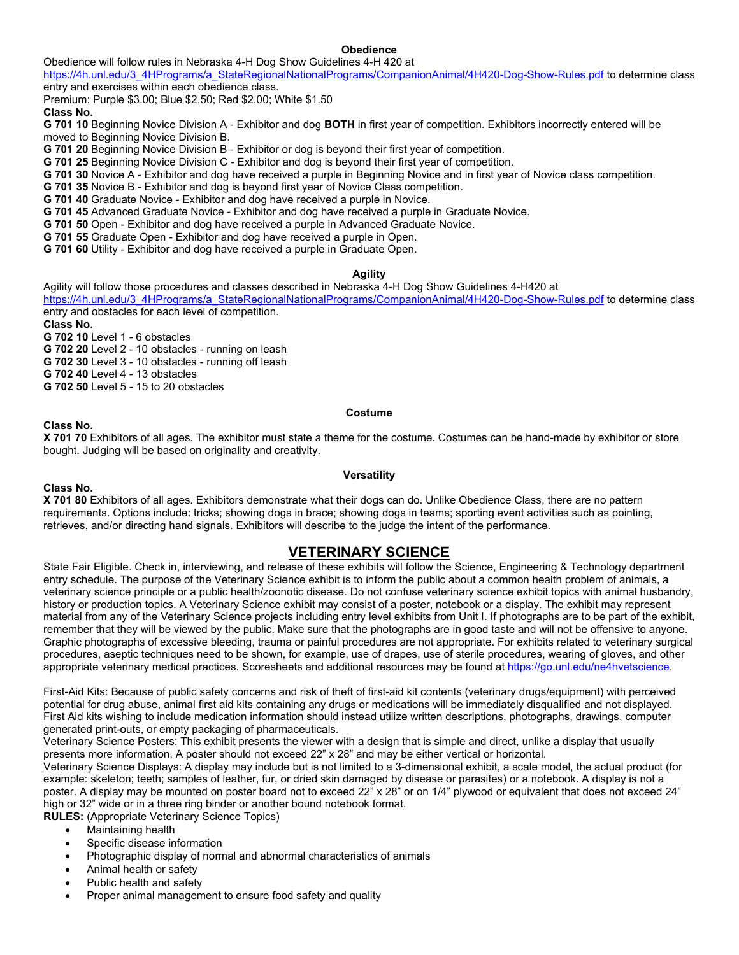### **Obedience**

Obedience will follow rules in Nebraska 4-H Dog Show Guidelines 4-H 420 at

[https://4h.unl.edu/3\\_4HPrograms/a\\_StateRegionalNationalPrograms/CompanionAnimal/4H420-Dog-Show-Rules.pdf](https://4h.unl.edu/3_4HPrograms/a_StateRegionalNationalPrograms/CompanionAnimal/4H420-Dog-Show-Rules.pdf) to determine class entry and exercises within each obedience class.

Premium: Purple \$3.00; Blue \$2.50; Red \$2.00; White \$1.50

#### **Class No.**

**G 701 10** Beginning Novice Division A - Exhibitor and dog **BOTH** in first year of competition. Exhibitors incorrectly entered will be moved to Beginning Novice Division B.

**G 701 20** Beginning Novice Division B - Exhibitor or dog is beyond their first year of competition.

**G 701 25** Beginning Novice Division C - Exhibitor and dog is beyond their first year of competition.

**G 701 30** Novice A - Exhibitor and dog have received a purple in Beginning Novice and in first year of Novice class competition.

**G 701 35** Novice B - Exhibitor and dog is beyond first year of Novice Class competition.

**G 701 40** Graduate Novice - Exhibitor and dog have received a purple in Novice.

**G 701 45** Advanced Graduate Novice - Exhibitor and dog have received a purple in Graduate Novice.

**G 701 50** Open - Exhibitor and dog have received a purple in Advanced Graduate Novice.

**G 701 55** Graduate Open - Exhibitor and dog have received a purple in Open.

**G 701 60** Utility - Exhibitor and dog have received a purple in Graduate Open.

#### **Agility**

Agility will follow those procedures and classes described in Nebraska 4-H Dog Show Guidelines 4-H420 [at](https://4h.unl.edu/3_4HPrograms/a_StateRegionalNationalPrograms/CompanionAnimal/4H420-Dog-Show-Rules.pdf) [https://4h.unl.edu/3\\_4HPrograms/a\\_StateRegionalNationalPrograms/CompanionAnimal/4H420-Dog-Show-Rules.pdf](https://4h.unl.edu/3_4HPrograms/a_StateRegionalNationalPrograms/CompanionAnimal/4H420-Dog-Show-Rules.pdf) to determine class entry and obstacles for each level of competition. **Class No. G 702 10** Level 1 - 6 obstacles **G 702 20** Level 2 - 10 obstacles - running on leash **G 702 30** Level 3 - 10 obstacles - running off leash

**G 702 40** Level 4 - 13 obstacles

**G 702 50** Level 5 - 15 to 20 obstacles

#### **Costume**

#### **Class No.**

**X 701 70** Exhibitors of all ages. The exhibitor must state a theme for the costume. Costumes can be hand-made by exhibitor or store bought. Judging will be based on originality and creativity.

#### **Versatility**

#### **Class No.**

**X 701 80** Exhibitors of all ages. Exhibitors demonstrate what their dogs can do. Unlike Obedience Class, there are no pattern requirements. Options include: tricks; showing dogs in brace; showing dogs in teams; sporting event activities such as pointing, retrieves, and/or directing hand signals. Exhibitors will describe to the judge the intent of the performance.

## **VETERINARY SCIENCE**

State Fair Eligible. Check in, interviewing, and release of these exhibits will follow the Science, Engineering & Technology department entry schedule. The purpose of the Veterinary Science exhibit is to inform the public about a common health problem of animals, a veterinary science principle or a public health/zoonotic disease. Do not confuse veterinary science exhibit topics with animal husbandry, history or production topics. A Veterinary Science exhibit may consist of a poster, notebook or a display. The exhibit may represent material from any of the Veterinary Science projects including entry level exhibits from Unit I. If photographs are to be part of the exhibit, remember that they will be viewed by the public. Make sure that the photographs are in good taste and will not be offensive to anyone. Graphic photographs of excessive bleeding, trauma or painful procedures are not appropriate. For exhibits related to veterinary surgical procedures, aseptic techniques need to be shown, for example, use of drapes, use of sterile procedures, wearing of gloves, and other appropriate veterinary medical practices. Scoresheets and additional resources may be found a[t https://go.unl.edu/ne4hvetscience.](https://go.unl.edu/ne4hvetscience)

First-Aid Kits: Because of public safety concerns and risk of theft of first-aid kit contents (veterinary drugs/equipment) with perceived potential for drug abuse, animal first aid kits containing any drugs or medications will be immediately disqualified and not displayed. First Aid kits wishing to include medication information should instead utilize written descriptions, photographs, drawings, computer generated print-outs, or empty packaging of pharmaceuticals.

Veterinary Science Posters: This exhibit presents the viewer with a design that is simple and direct, unlike a display that usually presents more information. A poster should not exceed 22" x 28" and may be either vertical or horizontal.

Veterinary Science Displays: A display may include but is not limited to a 3-dimensional exhibit, a scale model, the actual product (for example: skeleton; teeth; samples of leather, fur, or dried skin damaged by disease or parasites) or a notebook. A display is not a poster. A display may be mounted on poster board not to exceed 22" x 28" or on 1/4" plywood or equivalent that does not exceed 24" high or 32" wide or in a three ring binder or another bound notebook format.

**RULES:** (Appropriate Veterinary Science Topics)

- Maintaining health
- Specific disease information
- Photographic display of normal and abnormal characteristics of animals
- Animal health or safety
- Public health and safety
- Proper animal management to ensure food safety and quality